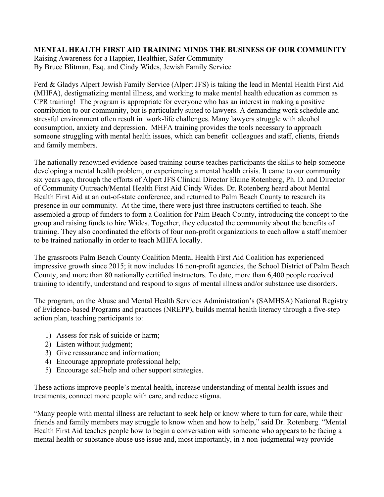## **MENTAL HEALTH FIRST AID TRAINING MINDS THE BUSINESS OF OUR COMMUNITY**

Raising Awareness for a Happier, Healthier, Safer Community By Bruce Blitman, Esq. and Cindy Wides, Jewish Family Service

Ferd & Gladys Alpert Jewish Family Service (Alpert JFS) is taking the lead in Mental Health First Aid (MHFA), destigmatizing mental illness, and working to make mental health education as common as CPR training! The program is appropriate for everyone who has an interest in making a positive contribution to our community, but is particularly suited to lawyers. A demanding work schedule and stressful environment often result in work-life challenges. Many lawyers struggle with alcohol consumption, anxiety and depression. MHFA training provides the tools necessary to approach someone struggling with mental health issues, which can benefit colleagues and staff, clients, friends and family members.

The nationally renowned evidence-based training course teaches participants the skills to help someone developing a mental health problem, or experiencing a mental health crisis. It came to our community six years ago, through the efforts of Alpert JFS Clinical Director Elaine Rotenberg, Ph. D. and Director of Community Outreach/Mental Health First Aid Cindy Wides. Dr. Rotenberg heard about Mental Health First Aid at an out-of-state conference, and returned to Palm Beach County to research its presence in our community. At the time, there were just three instructors certified to teach. She assembled a group of funders to form a Coalition for Palm Beach County, introducing the concept to the group and raising funds to hire Wides. Together, they educated the community about the benefits of training. They also coordinated the efforts of four non-profit organizations to each allow a staff member to be trained nationally in order to teach MHFA locally.

The grassroots Palm Beach County Coalition Mental Health First Aid Coalition has experienced impressive growth since 2015; it now includes 16 non-profit agencies, the School District of Palm Beach County, and more than 80 nationally certified instructors. To date, more than 6,400 people received training to identify, understand and respond to signs of mental illness and/or substance use disorders.

The program, on the Abuse and Mental Health Services Administration's (SAMHSA) National Registry of Evidence-based Programs and practices (NREPP), builds mental health literacy through a five-step action plan, teaching participants to:

- 1) Assess for risk of suicide or harm;
- 2) Listen without judgment;
- 3) Give reassurance and information;
- 4) Encourage appropriate professional help;
- 5) Encourage self-help and other support strategies.

These actions improve people's mental health, increase understanding of mental health issues and treatments, connect more people with care, and reduce stigma.

"Many people with mental illness are reluctant to seek help or know where to turn for care, while their friends and family members may struggle to know when and how to help," said Dr. Rotenberg. "Mental Health First Aid teaches people how to begin a conversation with someone who appears to be facing a mental health or substance abuse use issue and, most importantly, in a non-judgmental way provide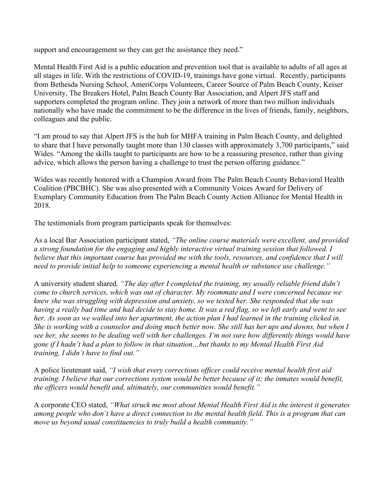support and encouragement so they can get the assistance they need."

Mental Health First Aid is a public education and prevention tool that is available to adults of all ages at all stages in life. With the restrictions of COVID-19, trainings have gone virtual. Recently, participants from Bethesda Nursing School, AmeriCorps Volunteers, Career Source of Palm Beach County, Keiser University, The Breakers Hotel, Palm Beach County Bar Association, and Alpert JFS staff and supporters completed the program online. They join a network of more than two million individuals nationally who have made the commitment to be the difference in the lives of friends, family, neighbors, colleagues and the public.

"I am proud to say that Alpert JFS is the hub for MHFA training in Palm Beach County, and delighted to share that I have personally taught more than 130 classes with approximately 3,700 participants," said Wides. "Among the skills taught to participants are how to be a reassuring presence, rather than giving advice, which allows the person having a challenge to trust the person offering guidance."

Wides was recently honored with a Champion Award from The Palm Beach County Behavioral Health Coalition (PBCBHC). She was also presented with a Community Voices Award for Delivery of Exemplary Community Education from The Palm Beach County Action Alliance for Mental Health in 2018.

The testimonials from program participants speak for themselves:

As a local Bar Association participant stated, *"The online course materials were excellent, and provided a strong foundation for the engaging and highly interactive virtual training session that followed. I believe that this important course has provided me with the tools, resources, and confidence that I will need to provide initial help to someone experiencing a mental health or substance use challenge."*

A university student shared*, "The day after I completed the training, my usually reliable friend didn't come to church services, which was out of character. My roommate and I were concerned because we knew she was struggling with depression and anxiety, so we texted her. She responded that she was having a really bad time and had decide to stay home. It was a red flag, so we left early and went to see her. As soon as we walked into her apartment, the action plan I had learned in the training clicked in. She is working with a counselor and doing much better now. She still has her ups and downs, but when I see her, she seems to be dealing well with her challenges. I'm not sure how differently things would have gone if I hadn't had a plan to follow in that situation…but thanks to my Mental Health First Aid training, I didn't have to find out."*

A police lieutenant said, *"I wish that every corrections officer could receive mental health first aid training. I believe that our corrections system would be better because of it; the inmates would benefit, the officers would benefit and, ultimately, our communities would benefit."* 

A corporate CEO stated, *"What struck me most about Mental Health First Aid is the interest it generates among people who don't have a direct connection to the mental health field. This is a program that can move us beyond usual constituencies to truly build a health community."*